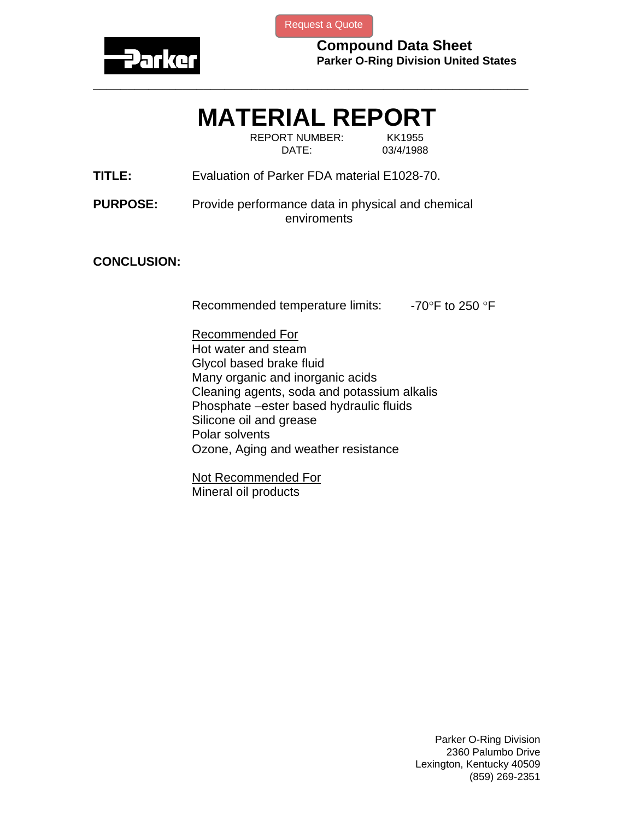

[Request a Quote](http://www.marcorubber.com/contact_quote.htm?material=Parker+E1028-70)

**Compound Data Sheet Parker O-Ring Division United States** 

## **MATERIAL REPORT**

**\_\_\_\_\_\_\_\_\_\_\_\_\_\_\_\_\_\_\_\_\_\_\_\_\_\_\_\_\_\_\_\_\_\_\_\_\_\_\_\_\_\_\_\_\_\_\_\_\_\_\_\_\_\_\_\_\_\_\_\_\_\_\_** 

REPORT NUMBER: KK1955 DATE: 03/4/1988

**TITLE:** Evaluation of Parker FDA material E1028-70.

**PURPOSE:** Provide performance data in physical and chemical enviroments

## **CONCLUSION:**

Recommended temperature limits:  $-70^\circ$ F to 250 °F

Recommended For Hot water and steam Glycol based brake fluid Many organic and inorganic acids Cleaning agents, soda and potassium alkalis Phosphate –ester based hydraulic fluids Silicone oil and grease Polar solvents Ozone, Aging and weather resistance

Not Recommended For Mineral oil products

> Parker O-Ring Division 2360 Palumbo Drive Lexington, Kentucky 40509 (859) 269-2351